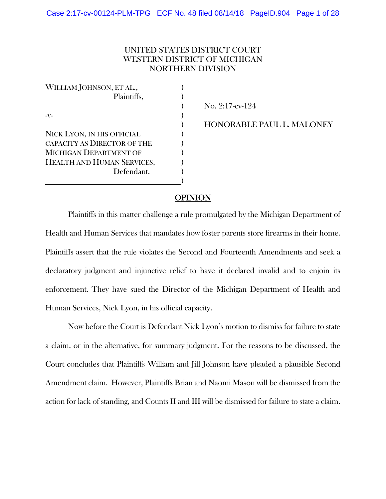# UNITED STATES DISTRICT COURT WESTERN DISTRICT OF MICHIGAN NORTHERN DIVISION

WILLIAM JOHNSON, ET AL., Plaintiffs,  $\qquad \qquad$ )  $-V$ - $V$ -) NICK LYON, IN HIS OFFICIAL ) CAPACITY AS DIRECTOR OF THE MICHIGAN DEPARTMENT OF HEALTH AND HUMAN SERVICES, Defendant. ) and the contract of the contract of  $\mathcal{L}$ 

) No. 2:17-cv-124

) HONORABLE PAUL L. MALONEY

# **OPINION**

 Plaintiffs in this matter challenge a rule promulgated by the Michigan Department of Health and Human Services that mandates how foster parents store firearms in their home. Plaintiffs assert that the rule violates the Second and Fourteenth Amendments and seek a declaratory judgment and injunctive relief to have it declared invalid and to enjoin its enforcement. They have sued the Director of the Michigan Department of Health and Human Services, Nick Lyon, in his official capacity.

Now before the Court is Defendant Nick Lyon's motion to dismiss for failure to state a claim, or in the alternative, for summary judgment. For the reasons to be discussed, the Court concludes that Plaintiffs William and Jill Johnson have pleaded a plausible Second Amendment claim. However, Plaintiffs Brian and Naomi Mason will be dismissed from the action for lack of standing, and Counts II and III will be dismissed for failure to state a claim.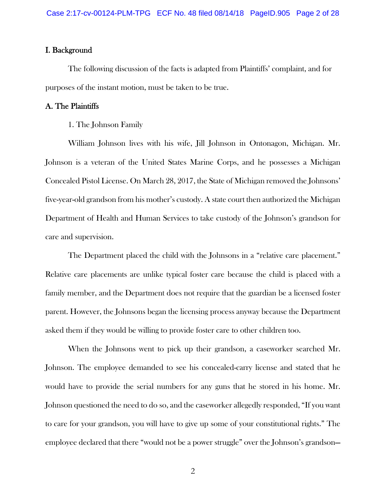## I. Background

 The following discussion of the facts is adapted from Plaintiffs' complaint, and for purposes of the instant motion, must be taken to be true.

## A. The Plaintiffs

## 1. The Johnson Family

William Johnson lives with his wife, Jill Johnson in Ontonagon, Michigan. Mr. Johnson is a veteran of the United States Marine Corps, and he possesses a Michigan Concealed Pistol License. On March 28, 2017, the State of Michigan removed the Johnsons' five-year-old grandson from his mother's custody. A state court then authorized the Michigan Department of Health and Human Services to take custody of the Johnson's grandson for care and supervision.

The Department placed the child with the Johnsons in a "relative care placement." Relative care placements are unlike typical foster care because the child is placed with a family member, and the Department does not require that the guardian be a licensed foster parent. However, the Johnsons began the licensing process anyway because the Department asked them if they would be willing to provide foster care to other children too.

When the Johnsons went to pick up their grandson, a caseworker searched Mr. Johnson. The employee demanded to see his concealed-carry license and stated that he would have to provide the serial numbers for any guns that he stored in his home. Mr. Johnson questioned the need to do so, and the caseworker allegedly responded, "If you want to care for your grandson, you will have to give up some of your constitutional rights." The employee declared that there "would not be a power struggle" over the Johnson's grandson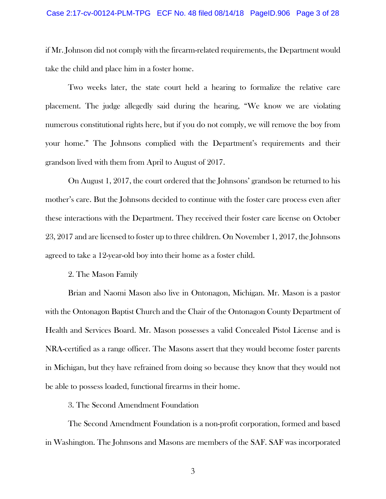if Mr. Johnson did not comply with the firearm-related requirements, the Department would take the child and place him in a foster home.

Two weeks later, the state court held a hearing to formalize the relative care placement. The judge allegedly said during the hearing, "We know we are violating numerous constitutional rights here, but if you do not comply, we will remove the boy from your home." The Johnsons complied with the Department's requirements and their grandson lived with them from April to August of 2017.

On August 1, 2017, the court ordered that the Johnsons' grandson be returned to his mother's care. But the Johnsons decided to continue with the foster care process even after these interactions with the Department. They received their foster care license on October 23, 2017 and are licensed to foster up to three children. On November 1, 2017, the Johnsons agreed to take a 12-year-old boy into their home as a foster child.

2. The Mason Family

Brian and Naomi Mason also live in Ontonagon, Michigan. Mr. Mason is a pastor with the Ontonagon Baptist Church and the Chair of the Ontonagon County Department of Health and Services Board. Mr. Mason possesses a valid Concealed Pistol License and is NRA-certified as a range officer. The Masons assert that they would become foster parents in Michigan, but they have refrained from doing so because they know that they would not be able to possess loaded, functional firearms in their home.

3. The Second Amendment Foundation

The Second Amendment Foundation is a non-profit corporation, formed and based in Washington. The Johnsons and Masons are members of the SAF. SAF was incorporated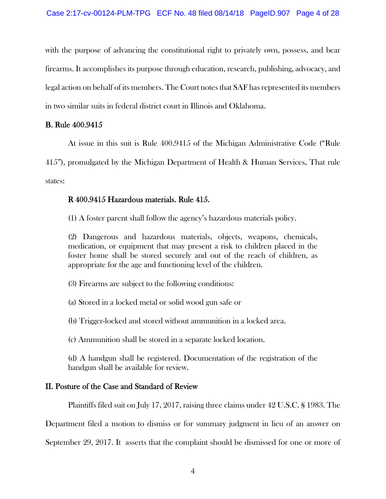with the purpose of advancing the constitutional right to privately own, possess, and bear firearms. It accomplishes its purpose through education, research, publishing, advocacy, and legal action on behalf of its members. The Court notes that SAF has represented its members in two similar suits in federal district court in Illinois and Oklahoma.

## B. Rule 400.9415

At issue in this suit is Rule 400.9415 of the Michigan Administrative Code ("Rule

415"), promulgated by the Michigan Department of Health & Human Services. That rule states:

# R 400.9415 Hazardous materials. Rule 415.

(1) A foster parent shall follow the agency's hazardous materials policy.

(2) Dangerous and hazardous materials, objects, weapons, chemicals, medication, or equipment that may present a risk to children placed in the foster home shall be stored securely and out of the reach of children, as appropriate for the age and functioning level of the children.

(3) Firearms are subject to the following conditions:

(a) Stored in a locked metal or solid wood gun safe or

(b) Trigger-locked and stored without ammunition in a locked area.

(c) Ammunition shall be stored in a separate locked location.

(d) A handgun shall be registered. Documentation of the registration of the handgun shall be available for review.

# II. Posture of the Case and Standard of Review

Plaintiffs filed suit on July 17, 2017, raising three claims under 42 U.S.C. § 1983. The

Department filed a motion to dismiss or for summary judgment in lieu of an answer on

September 29, 2017. It asserts that the complaint should be dismissed for one or more of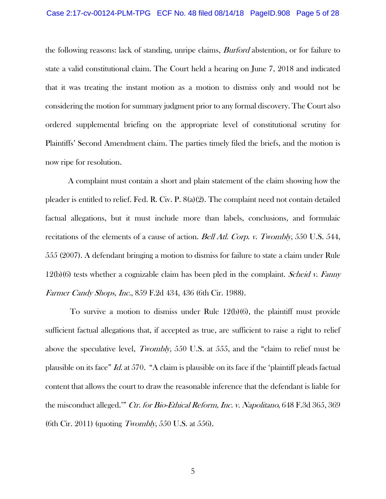#### Case 2:17-cv-00124-PLM-TPG ECF No. 48 filed 08/14/18 PageID.908 Page 5 of 28

the following reasons: lack of standing, unripe claims, *Burford* abstention, or for failure to state a valid constitutional claim. The Court held a hearing on June 7, 2018 and indicated that it was treating the instant motion as a motion to dismiss only and would not be considering the motion for summary judgment prior to any formal discovery. The Court also ordered supplemental briefing on the appropriate level of constitutional scrutiny for Plaintiffs' Second Amendment claim. The parties timely filed the briefs, and the motion is now ripe for resolution.

A complaint must contain a short and plain statement of the claim showing how the pleader is entitled to relief. Fed. R. Civ. P. 8(a)(2). The complaint need not contain detailed factual allegations, but it must include more than labels, conclusions, and formulaic recitations of the elements of a cause of action. *Bell Atl. Corp. v. Twombly*, 550 U.S. 544, 555 (2007). A defendant bringing a motion to dismiss for failure to state a claim under Rule  $12(b)(6)$  tests whether a cognizable claim has been pled in the complaint. *Scheid v. Fanny* Farmer Candy Shops, Inc., 859 F.2d 434, 436 (6th Cir. 1988).

 To survive a motion to dismiss under Rule 12(b)(6), the plaintiff must provide sufficient factual allegations that, if accepted as true, are sufficient to raise a right to relief above the speculative level, Twombly, 550 U.S. at 555, and the "claim to relief must be plausible on its face" Id. at 570. "A claim is plausible on its face if the 'plaintiff pleads factual content that allows the court to draw the reasonable inference that the defendant is liable for the misconduct alleged." Ctr. for Bio-Ethical Reform, Inc. v. Napolitano, 648 F.3d 365, 369 (6th Cir. 2011) (quoting Twombly, 550 U.S. at 556).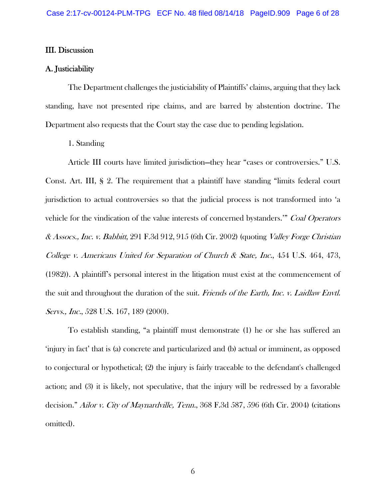## III. Discussion

## A. Justiciability

 The Department challenges the justiciability of Plaintiffs' claims, arguing that they lack standing, have not presented ripe claims, and are barred by abstention doctrine. The Department also requests that the Court stay the case due to pending legislation.

1. Standing

 Article III courts have limited jurisdiction—they hear "cases or controversies." U.S. Const. Art. III, § 2. The requirement that a plaintiff have standing "limits federal court jurisdiction to actual controversies so that the judicial process is not transformed into 'a vehicle for the vindication of the value interests of concerned bystanders." Coal Operators & Assocs., Inc. v. Babbitt, 291 F.3d 912, 915 (6th Cir. 2002) (quoting Valley Forge Christian College v. Americans United for Separation of Church & State, Inc., 454 U.S. 464, 473, (1982)). A plaintiff's personal interest in the litigation must exist at the commencement of the suit and throughout the duration of the suit. Friends of the Earth, Inc. v. Laidlaw Envtl. Servs., Inc., 528 U.S. 167, 189 (2000).

 To establish standing, "a plaintiff must demonstrate (1) he or she has suffered an 'injury in fact' that is (a) concrete and particularized and (b) actual or imminent, as opposed to conjectural or hypothetical; (2) the injury is fairly traceable to the defendant's challenged action; and (3) it is likely, not speculative, that the injury will be redressed by a favorable decision." Ailor v. City of Maynardville, Tenn., 368 F.3d 587, 596 (6th Cir. 2004) (citations omitted).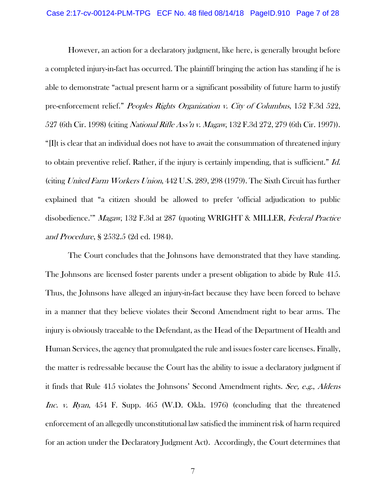However, an action for a declaratory judgment, like here, is generally brought before a completed injury-in-fact has occurred. The plaintiff bringing the action has standing if he is able to demonstrate "actual present harm or a significant possibility of future harm to justify pre-enforcement relief." Peoples Rights Organization v. City of Columbus, 152 F.3d 522, 527 (6th Cir. 1998) (citing *National Rifle Ass'n v. Magaw*, 132 F.3d 272, 279 (6th Cir. 1997)). "[I]t is clear that an individual does not have to await the consummation of threatened injury to obtain preventive relief. Rather, if the injury is certainly impending, that is sufficient." Id. (citing United Farm Workers Union, 442 U.S. 289, 298 (1979). The Sixth Circuit has further explained that "a citizen should be allowed to prefer 'official adjudication to public disobedience.'" Magaw, 132 F.3d at 287 (quoting WRIGHT & MILLER, Federal Practice and Procedure, § 2532.5 (2d ed. 1984).

 The Court concludes that the Johnsons have demonstrated that they have standing. The Johnsons are licensed foster parents under a present obligation to abide by Rule 415. Thus, the Johnsons have alleged an injury-in-fact because they have been forced to behave in a manner that they believe violates their Second Amendment right to bear arms. The injury is obviously traceable to the Defendant, as the Head of the Department of Health and Human Services, the agency that promulgated the rule and issues foster care licenses. Finally, the matter is redressable because the Court has the ability to issue a declaratory judgment if it finds that Rule 415 violates the Johnsons' Second Amendment rights. See, e.g., Aldens Inc. v. Ryan, 454 F. Supp. 465 (W.D. Okla. 1976) (concluding that the threatened enforcement of an allegedly unconstitutional law satisfied the imminent risk of harm required for an action under the Declaratory Judgment Act). Accordingly, the Court determines that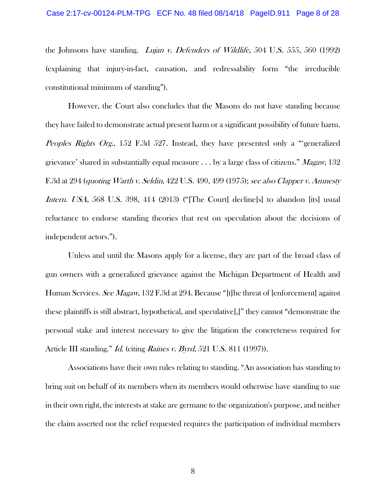#### Case 2:17-cv-00124-PLM-TPG ECF No. 48 filed 08/14/18 PageID.911 Page 8 of 28

the Johnsons have standing. Lujan v. Defenders of Wildlife, 504 U.S. 555, 560 (1992) (explaining that injury-in-fact, causation, and redressability form "the irreducible constitutional minimum of standing").

 However, the Court also concludes that the Masons do not have standing because they have failed to demonstrate actual present harm or a significant possibility of future harm. Peoples Rights Org., 152 F.3d 527. Instead, they have presented only a "generalized" grievance' shared in substantially equal measure  $\ldots$  by a large class of citizens." Magaw, 132 F.3d at 294 (quoting Warth v. Seldin, 422 U.S. 490, 499 (1975); see also Clapper v. Amnesty Intern. USA, 568 U.S. 398, 414 (2013) ("The Court declines to abandon [its] usual reluctance to endorse standing theories that rest on speculation about the decisions of independent actors.").

 Unless and until the Masons apply for a license, they are part of the broad class of gun owners with a generalized grievance against the Michigan Department of Health and Human Services. See Magaw, 132 F.3d at 294. Because "[t]he threat of [enforcement] against these plaintiffs is still abstract, hypothetical, and speculative[,]" they cannot "demonstrate the personal stake and interest necessary to give the litigation the concreteness required for Article III standing." *Id.* (citing *Raines v. Byrd*, 521 U.S. 811 (1997)).

 Associations have their own rules relating to standing. "An association has standing to bring suit on behalf of its members when its members would otherwise have standing to sue in their own right, the interests at stake are germane to the organization's purpose, and neither the claim asserted nor the relief requested requires the participation of individual members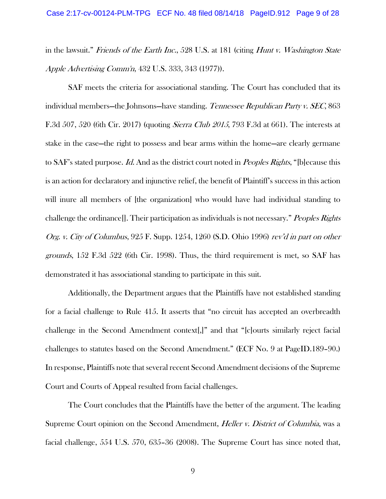in the lawsuit." Friends of the Earth Inc., 528 U.S. at 181 (citing Hunt v. Washington State Apple Advertising Comm'n, 432 U.S. 333, 343 (1977)).

 SAF meets the criteria for associational standing. The Court has concluded that its individual members—the Johnsons—have standing. Tennessee Republican Party v. SEC, 863 F.3d 507, 520 (6th Cir. 2017) (quoting *Sierra Club 2015*, 793 F.3d at 661). The interests at stake in the case—the right to possess and bear arms within the home—are clearly germane to SAF's stated purpose. Id. And as the district court noted in *Peoples Rights*, "[b]ecause this is an action for declaratory and injunctive relief, the benefit of Plaintiff's success in this action will inure all members of [the organization] who would have had individual standing to challenge the ordinance<sup>[]</sup>. Their participation as individuals is not necessary." *Peoples Rights* Org. v. City of Columbus, 925 F. Supp. 1254, 1260 (S.D. Ohio 1996) rev'd in part on other grounds, 152 F.3d 522 (6th Cir. 1998). Thus, the third requirement is met, so SAF has demonstrated it has associational standing to participate in this suit.

 Additionally, the Department argues that the Plaintiffs have not established standing for a facial challenge to Rule 415. It asserts that "no circuit has accepted an overbreadth challenge in the Second Amendment context[,]" and that "[c]ourts similarly reject facial challenges to statutes based on the Second Amendment." (ECF No. 9 at PageID.189–90.) In response, Plaintiffs note that several recent Second Amendment decisions of the Supreme Court and Courts of Appeal resulted from facial challenges.

 The Court concludes that the Plaintiffs have the better of the argument. The leading Supreme Court opinion on the Second Amendment, *Heller v. District of Columbia*, was a facial challenge, 554 U.S. 570, 635–36 (2008). The Supreme Court has since noted that,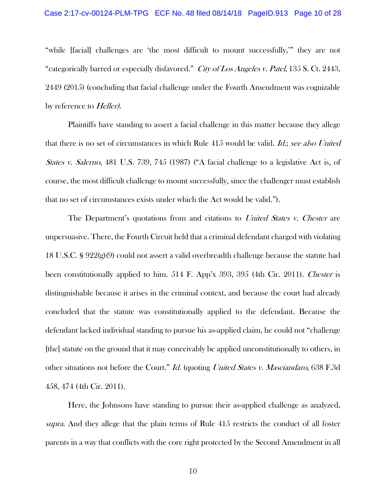"while [facial] challenges are 'the most difficult to mount successfully,'" they are not "categorically barred or especially disfavored." City of Los Angeles v. Patel, 135 S. Ct. 2443, 2449 (2015) (concluding that facial challenge under the Fourth Amendment was cognizable by reference to *Heller*).

 Plaintiffs have standing to assert a facial challenge in this matter because they allege that there is no set of circumstances in which Rule 415 would be valid. *Id.*; see also United States v. Salerno, 481 U.S. 739, 745 (1987) ("A facial challenge to a legislative Act is, of course, the most difficult challenge to mount successfully, since the challenger must establish that no set of circumstances exists under which the Act would be valid.").

The Department's quotations from and citations to United States v. Chester are unpersuasive. There, the Fourth Circuit held that a criminal defendant charged with violating 18 U.S.C. § 922(g)(9) could not assert a valid overbreadth challenge because the statute had been constitutionally applied to him. 514 F. App'x 393, 395 (4th Cir. 2011). *Chester* is distinguishable because it arises in the criminal context, and because the court had already concluded that the statute was constitutionally applied to the defendant. Because the defendant lacked individual standing to pursue his as-applied claim, he could not "challenge [the] statute on the ground that it may conceivably be applied unconstitutionally to others, in other situations not before the Court." Id. (quoting United States v. Masciandaro, 638 F.3d 458, 474 (4th Cir. 2011).

 Here, the Johnsons have standing to pursue their as-applied challenge as analyzed, supra. And they allege that the plain terms of Rule 415 restricts the conduct of all foster parents in a way that conflicts with the core right protected by the Second Amendment in all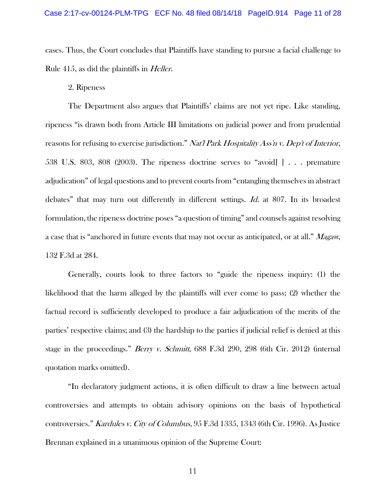cases. Thus, the Court concludes that Plaintiffs have standing to pursue a facial challenge to Rule 415, as did the plaintiffs in Heller.

2. Ripeness

 The Department also argues that Plaintiffs' claims are not yet ripe. Like standing, ripeness "is drawn both from Article III limitations on judicial power and from prudential reasons for refusing to exercise jurisdiction." Nat'l Park Hospitality Ass'n v. Dep't of Interior, 538 U.S. 803, 808 (2003). The ripeness doctrine serves to "avoid[ ] . . . premature adjudication" of legal questions and to prevent courts from "entangling themselves in abstract debates" that may turn out differently in different settings. Id. at 807. In its broadest formulation, the ripeness doctrine poses "a question of timing" and counsels against resolving a case that is "anchored in future events that may not occur as anticipated, or at all." Magaw, 132 F.3d at 284.

 Generally, courts look to three factors to "guide the ripeness inquiry: (1) the likelihood that the harm alleged by the plaintiffs will ever come to pass; (2) whether the factual record is sufficiently developed to produce a fair adjudication of the merits of the parties' respective claims; and (3) the hardship to the parties if judicial relief is denied at this stage in the proceedings." *Berry v. Schmitt*, 688 F.3d 290, 298 (6th Cir. 2012) (internal quotation marks omitted).

 "In declaratory judgment actions, it is often difficult to draw a line between actual controversies and attempts to obtain advisory opinions on the basis of hypothetical controversies." Kardules v. City of Columbus, 95 F.3d 1335, 1343 (6th Cir. 1996). As Justice Brennan explained in a unanimous opinion of the Supreme Court: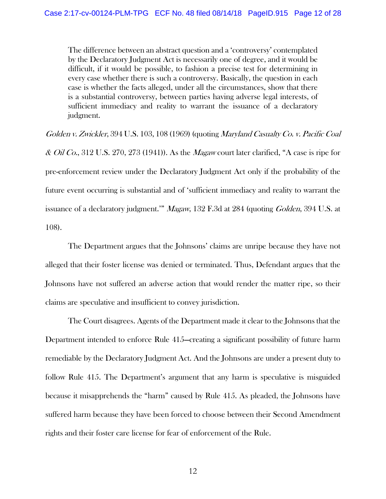The difference between an abstract question and a 'controversy' contemplated by the Declaratory Judgment Act is necessarily one of degree, and it would be difficult, if it would be possible, to fashion a precise test for determining in every case whether there is such a controversy. Basically, the question in each case is whether the facts alleged, under all the circumstances, show that there is a substantial controversy, between parties having adverse legal interests, of sufficient immediacy and reality to warrant the issuance of a declaratory judgment.

Golden v. Zwickler, 394 U.S. 103, 108 (1969) (quoting Maryland Casualty Co. v. Pacific Coal  $\&$  *Oil Co.*, 312 U.S. 270, 273 (1941)). As the *Magaw* court later clarified, "A case is ripe for pre-enforcement review under the Declaratory Judgment Act only if the probability of the future event occurring is substantial and of 'sufficient immediacy and reality to warrant the issuance of a declaratory judgment." *Magaw*, 132 F.3d at 284 (quoting *Golden*, 394 U.S. at 108).

 The Department argues that the Johnsons' claims are unripe because they have not alleged that their foster license was denied or terminated. Thus, Defendant argues that the Johnsons have not suffered an adverse action that would render the matter ripe, so their claims are speculative and insufficient to convey jurisdiction.

 The Court disagrees. Agents of the Department made it clear to the Johnsons that the Department intended to enforce Rule 415—creating a significant possibility of future harm remediable by the Declaratory Judgment Act. And the Johnsons are under a present duty to follow Rule 415. The Department's argument that any harm is speculative is misguided because it misapprehends the "harm" caused by Rule 415. As pleaded, the Johnsons have suffered harm because they have been forced to choose between their Second Amendment rights and their foster care license for fear of enforcement of the Rule.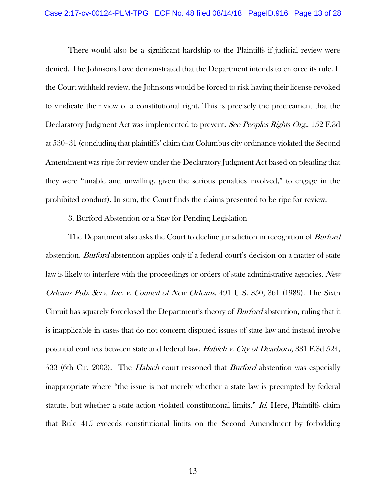#### Case 2:17-cv-00124-PLM-TPG ECF No. 48 filed 08/14/18 PageID.916 Page 13 of 28

 There would also be a significant hardship to the Plaintiffs if judicial review were denied. The Johnsons have demonstrated that the Department intends to enforce its rule. If the Court withheld review, the Johnsons would be forced to risk having their license revoked to vindicate their view of a constitutional right. This is precisely the predicament that the Declaratory Judgment Act was implemented to prevent. See Peoples Rights Org., 152 F.3d at 530–31 (concluding that plaintiffs' claim that Columbus city ordinance violated the Second Amendment was ripe for review under the Declaratory Judgment Act based on pleading that they were "unable and unwilling, given the serious penalties involved," to engage in the prohibited conduct). In sum, the Court finds the claims presented to be ripe for review.

3. Burford Abstention or a Stay for Pending Legislation

The Department also asks the Court to decline jurisdiction in recognition of *Burford* abstention. *Burford* abstention applies only if a federal court's decision on a matter of state law is likely to interfere with the proceedings or orders of state administrative agencies. New Orleans Pub. Serv. Inc. v. Council of New Orleans, 491 U.S. 350, 361 (1989). The Sixth Circuit has squarely foreclosed the Department's theory of *Burford* abstention, ruling that it is inapplicable in cases that do not concern disputed issues of state law and instead involve potential conflicts between state and federal law. Habich v. City of Dearborn, 331 F.3d 524, 533 (6th Cir. 2003). The *Habich* court reasoned that *Burford* abstention was especially inappropriate where "the issue is not merely whether a state law is preempted by federal statute, but whether a state action violated constitutional limits." *Id.* Here, Plaintiffs claim that Rule 415 exceeds constitutional limits on the Second Amendment by forbidding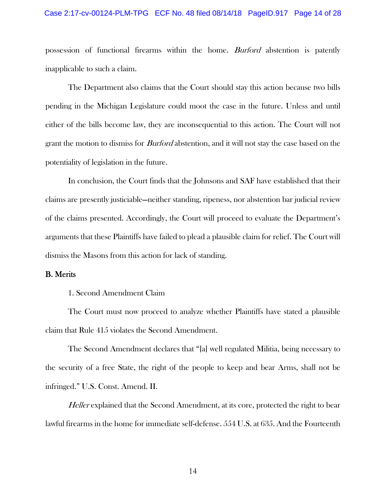#### Case 2:17-cv-00124-PLM-TPG ECF No. 48 filed 08/14/18 PageID.917 Page 14 of 28

possession of functional firearms within the home. Burford abstention is patently inapplicable to such a claim.

 The Department also claims that the Court should stay this action because two bills pending in the Michigan Legislature could moot the case in the future. Unless and until either of the bills become law, they are inconsequential to this action. The Court will not grant the motion to dismiss for *Burford* abstention, and it will not stay the case based on the potentiality of legislation in the future.

 In conclusion, the Court finds that the Johnsons and SAF have established that their claims are presently justiciable—neither standing, ripeness, nor abstention bar judicial review of the claims presented. Accordingly, the Court will proceed to evaluate the Department's arguments that these Plaintiffs have failed to plead a plausible claim for relief. The Court will dismiss the Masons from this action for lack of standing.

## B. Merits

## 1. Second Amendment Claim

 The Court must now proceed to analyze whether Plaintiffs have stated a plausible claim that Rule 415 violates the Second Amendment.

 The Second Amendment declares that "[a] well regulated Militia, being necessary to the security of a free State, the right of the people to keep and bear Arms, shall not be infringed." U.S. Const. Amend. II.

Heller explained that the Second Amendment, at its core, protected the right to bear lawful firearms in the home for immediate self-defense. 554 U.S. at 635. And the Fourteenth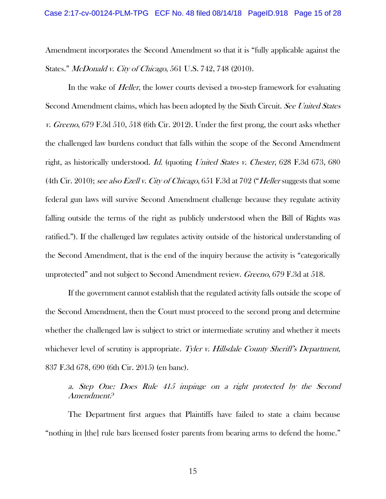Amendment incorporates the Second Amendment so that it is "fully applicable against the States." McDonald v. City of Chicago, 561 U.S. 742, 748 (2010).

In the wake of *Heller*, the lower courts devised a two-step framework for evaluating Second Amendment claims, which has been adopted by the Sixth Circuit. See United States v. Greeno, 679 F.3d 510, 518 (6th Cir. 2012). Under the first prong, the court asks whether the challenged law burdens conduct that falls within the scope of the Second Amendment right, as historically understood. Id. (quoting United States v. Chester, 628 F.3d 673, 680 (4th Cir. 2010); see also Ezell v. City of Chicago, 651 F.3d at 702 ("Heller suggests that some federal gun laws will survive Second Amendment challenge because they regulate activity falling outside the terms of the right as publicly understood when the Bill of Rights was ratified."). If the challenged law regulates activity outside of the historical understanding of the Second Amendment, that is the end of the inquiry because the activity is "categorically unprotected" and not subject to Second Amendment review. Greeno, 679 F.3d at 518.

 If the government cannot establish that the regulated activity falls outside the scope of the Second Amendment, then the Court must proceed to the second prong and determine whether the challenged law is subject to strict or intermediate scrutiny and whether it meets whichever level of scrutiny is appropriate. Tyler v. Hillsdale County Sheriff's Department, 837 F.3d 678, 690 (6th Cir. 2015) (en banc).

a. Step One: Does Rule 415 impinge on a right protected by the Second Amendment?

 The Department first argues that Plaintiffs have failed to state a claim because "nothing in [the] rule bars licensed foster parents from bearing arms to defend the home."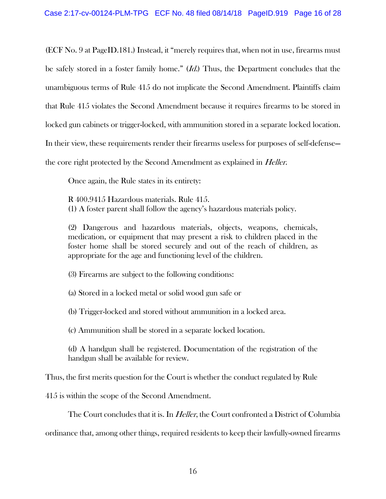(ECF No. 9 at PageID.181.) Instead, it "merely requires that, when not in use, firearms must be safely stored in a foster family home." (*Id.*) Thus, the Department concludes that the unambiguous terms of Rule 415 do not implicate the Second Amendment. Plaintiffs claim that Rule 415 violates the Second Amendment because it requires firearms to be stored in locked gun cabinets or trigger-locked, with ammunition stored in a separate locked location. In their view, these requirements render their firearms useless for purposes of self-defense the core right protected by the Second Amendment as explained in *Heller*.

Once again, the Rule states in its entirety:

R 400.9415 Hazardous materials. Rule 415. (1) A foster parent shall follow the agency's hazardous materials policy.

(2) Dangerous and hazardous materials, objects, weapons, chemicals, medication, or equipment that may present a risk to children placed in the foster home shall be stored securely and out of the reach of children, as appropriate for the age and functioning level of the children.

(3) Firearms are subject to the following conditions:

(a) Stored in a locked metal or solid wood gun safe or

(b) Trigger-locked and stored without ammunition in a locked area.

(c) Ammunition shall be stored in a separate locked location.

(d) A handgun shall be registered. Documentation of the registration of the handgun shall be available for review.

Thus, the first merits question for the Court is whether the conduct regulated by Rule

415 is within the scope of the Second Amendment.

The Court concludes that it is. In *Heller*, the Court confronted a District of Columbia

ordinance that, among other things, required residents to keep their lawfully-owned firearms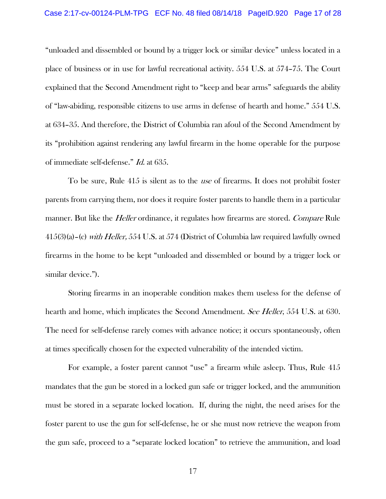"unloaded and dissembled or bound by a trigger lock or similar device" unless located in a place of business or in use for lawful recreational activity. 554 U.S. at 574–75. The Court explained that the Second Amendment right to "keep and bear arms" safeguards the ability of "law-abiding, responsible citizens to use arms in defense of hearth and home." 554 U.S. at 634–35. And therefore, the District of Columbia ran afoul of the Second Amendment by its "prohibition against rendering any lawful firearm in the home operable for the purpose of immediate self-defense." Id. at 635.

 To be sure, Rule 415 is silent as to the use of firearms. It does not prohibit foster parents from carrying them, nor does it require foster parents to handle them in a particular manner. But like the *Heller* ordinance, it regulates how firearms are stored. Compare Rule 415(3)(a)–(c) with Heller, 554 U.S. at 574 (District of Columbia law required lawfully owned firearms in the home to be kept "unloaded and dissembled or bound by a trigger lock or similar device.").

 Storing firearms in an inoperable condition makes them useless for the defense of hearth and home, which implicates the Second Amendment. See Heller, 554 U.S. at 630. The need for self-defense rarely comes with advance notice; it occurs spontaneously, often at times specifically chosen for the expected vulnerability of the intended victim.

 For example, a foster parent cannot "use" a firearm while asleep. Thus, Rule 415 mandates that the gun be stored in a locked gun safe or trigger locked, and the ammunition must be stored in a separate locked location. If, during the night, the need arises for the foster parent to use the gun for self-defense, he or she must now retrieve the weapon from the gun safe, proceed to a "separate locked location" to retrieve the ammunition, and load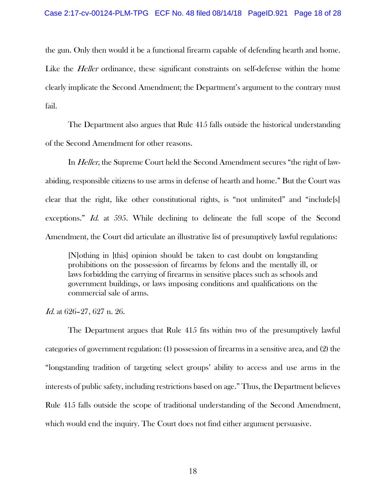the gun. Only then would it be a functional firearm capable of defending hearth and home. Like the *Heller* ordinance, these significant constraints on self-defense within the home clearly implicate the Second Amendment; the Department's argument to the contrary must fail.

 The Department also argues that Rule 415 falls outside the historical understanding of the Second Amendment for other reasons.

In *Heller*, the Supreme Court held the Second Amendment secures "the right of lawabiding, responsible citizens to use arms in defense of hearth and home." But the Court was clear that the right, like other constitutional rights, is "not unlimited" and "include[s] exceptions." Id. at 595. While declining to delineate the full scope of the Second Amendment, the Court did articulate an illustrative list of presumptively lawful regulations:

[N]othing in [this] opinion should be taken to cast doubt on longstanding prohibitions on the possession of firearms by felons and the mentally ill, or laws forbidding the carrying of firearms in sensitive places such as schools and government buildings, or laws imposing conditions and qualifications on the commercial sale of arms.

Id. at 626–27, 627 n. 26.

 The Department argues that Rule 415 fits within two of the presumptively lawful categories of government regulation: (1) possession of firearms in a sensitive area, and (2) the "longstanding tradition of targeting select groups' ability to access and use arms in the interests of public safety, including restrictions based on age." Thus, the Department believes Rule 415 falls outside the scope of traditional understanding of the Second Amendment, which would end the inquiry. The Court does not find either argument persuasive.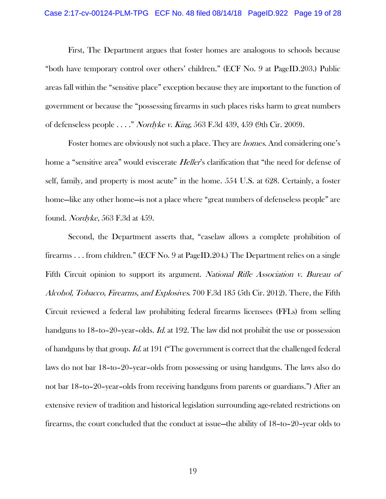#### Case 2:17-cv-00124-PLM-TPG ECF No. 48 filed 08/14/18 PageID.922 Page 19 of 28

 First, The Department argues that foster homes are analogous to schools because "both have temporary control over others' children." (ECF No. 9 at PageID.203.) Public areas fall within the "sensitive place" exception because they are important to the function of government or because the "possessing firearms in such places risks harm to great numbers of defenseless people . . . ." Nordyke v. King, 563 F.3d 439, 459 (9th Cir. 2009).

Foster homes are obviously not such a place. They are *homes*. And considering one's home a "sensitive area" would eviscerate *Heller's* clarification that "the need for defense of self, family, and property is most acute" in the home. 554 U.S. at 628. Certainly, a foster home—like any other home—is not a place where "great numbers of defenseless people" are found. Nordyke, 563 F.3d at 459.

 Second, the Department asserts that, "caselaw allows a complete prohibition of firearms . . . from children." (ECF No. 9 at PageID.204.) The Department relies on a single Fifth Circuit opinion to support its argument. National Rifle Association v. Bureau of Alcohol, Tobacco, Firearms, and Explosives. 700 F.3d 185 (5th Cir. 2012). There, the Fifth Circuit reviewed a federal law prohibiting federal firearms licensees (FFLs) from selling handguns to 18-to-20-year-olds. *Id.* at 192. The law did not prohibit the use or possession of handguns by that group. *Id.* at 191 ("The government is correct that the challenged federal laws do not bar 18–to–20–year–olds from possessing or using handguns. The laws also do not bar 18–to–20–year–olds from receiving handguns from parents or guardians.") After an extensive review of tradition and historical legislation surrounding age-related restrictions on firearms, the court concluded that the conduct at issue—the ability of 18–to–20–year olds to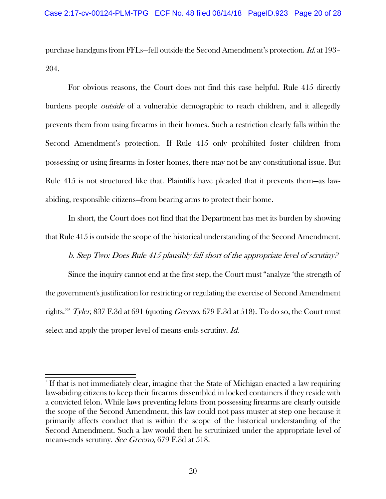purchase handguns from FFLs—fell outside the Second Amendment's protection. Id. at 193– 204.

 For obvious reasons, the Court does not find this case helpful. Rule 415 directly burdens people *outside* of a vulnerable demographic to reach children, and it allegedly prevents them from using firearms in their homes. Such a restriction clearly falls within the Second Amendment's protection.<sup>1</sup> If Rule 415 only prohibited foster children from possessing or using firearms in foster homes, there may not be any constitutional issue. But Rule 415 is not structured like that. Plaintiffs have pleaded that it prevents them—as lawabiding, responsible citizens—from bearing arms to protect their home.

 In short, the Court does not find that the Department has met its burden by showing that Rule 415 is outside the scope of the historical understanding of the Second Amendment.

b. Step Two: Does Rule 415 plausibly fall short of the appropriate level of scrutiny?

 Since the inquiry cannot end at the first step, the Court must "analyze 'the strength of the government's justification for restricting or regulating the exercise of Second Amendment rights." Tyler, 837 F.3d at 691 (quoting *Greeno*, 679 F.3d at 518). To do so, the Court must select and apply the proper level of means-ends scrutiny. *Id.* 

 $^1$  If that is not immediately clear, imagine that the State of Michigan enacted a law requiring law-abiding citizens to keep their firearms dissembled in locked containers if they reside with a convicted felon. While laws preventing felons from possessing firearms are clearly outside the scope of the Second Amendment, this law could not pass muster at step one because it primarily affects conduct that is within the scope of the historical understanding of the Second Amendment. Such a law would then be scrutinized under the appropriate level of means-ends scrutiny. See Greeno, 679 F.3d at 518.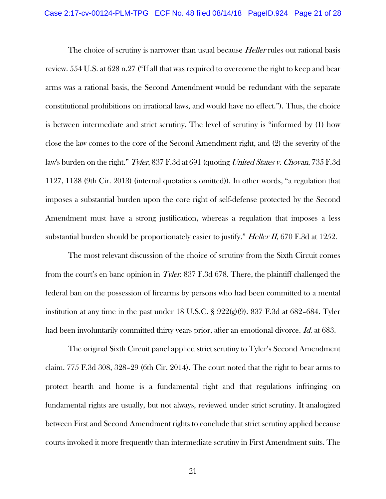The choice of scrutiny is narrower than usual because *Heller* rules out rational basis review. 554 U.S. at 628 n.27 ("If all that was required to overcome the right to keep and bear arms was a rational basis, the Second Amendment would be redundant with the separate constitutional prohibitions on irrational laws, and would have no effect."). Thus, the choice is between intermediate and strict scrutiny. The level of scrutiny is "informed by (1) how close the law comes to the core of the Second Amendment right, and (2) the severity of the law's burden on the right." Tyler, 837 F.3d at 691 (quoting United States v. Chovan, 735 F.3d 1127, 1138 (9th Cir. 2013) (internal quotations omitted)). In other words, "a regulation that imposes a substantial burden upon the core right of self-defense protected by the Second Amendment must have a strong justification, whereas a regulation that imposes a less substantial burden should be proportionately easier to justify." *Heller II*, 670 F.3d at 1252.

 The most relevant discussion of the choice of scrutiny from the Sixth Circuit comes from the court's en banc opinion in Tyler. 837 F.3d 678. There, the plaintiff challenged the federal ban on the possession of firearms by persons who had been committed to a mental institution at any time in the past under 18 U.S.C. § 922(g)(9). 837 F.3d at 682–684. Tyler had been involuntarily committed thirty years prior, after an emotional divorce. Id. at 683.

 The original Sixth Circuit panel applied strict scrutiny to Tyler's Second Amendment claim. 775 F.3d 308, 328–29 (6th Cir. 2014). The court noted that the right to bear arms to protect hearth and home is a fundamental right and that regulations infringing on fundamental rights are usually, but not always, reviewed under strict scrutiny. It analogized between First and Second Amendment rights to conclude that strict scrutiny applied because courts invoked it more frequently than intermediate scrutiny in First Amendment suits. The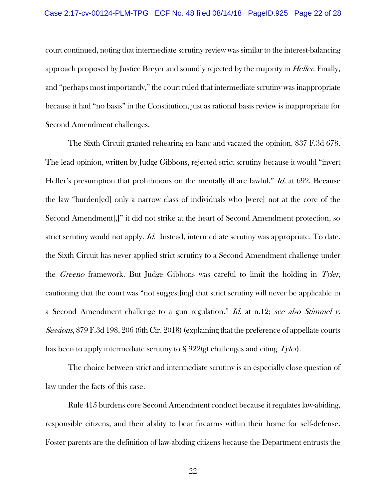court continued, noting that intermediate scrutiny review was similar to the interest-balancing approach proposed by Justice Breyer and soundly rejected by the majority in *Heller*. Finally, and "perhaps most importantly," the court ruled that intermediate scrutiny was inappropriate because it had "no basis" in the Constitution, just as rational basis review is inappropriate for Second Amendment challenges.

 The Sixth Circuit granted rehearing en banc and vacated the opinion. 837 F.3d 678. The lead opinion, written by Judge Gibbons, rejected strict scrutiny because it would "invert Heller's presumption that prohibitions on the mentally ill are lawful." *Id.* at 692. Because the law "burden[ed] only a narrow class of individuals who [were] not at the core of the Second Amendment[,]" it did not strike at the heart of Second Amendment protection, so strict scrutiny would not apply. *Id.* Instead, intermediate scrutiny was appropriate. To date, the Sixth Circuit has never applied strict scrutiny to a Second Amendment challenge under the Greeno framework. But Judge Gibbons was careful to limit the holding in Tyler, cautioning that the court was "not suggest[ing] that strict scrutiny will never be applicable in a Second Amendment challenge to a gun regulation." Id. at n.12; see also Stimmel v. Sessions, 879 F.3d 198, 206 (6th Cir. 2018) (explaining that the preference of appellate courts has been to apply intermediate scrutiny to  $\S 922(g)$  challenges and citing  $Tyl$ en.

 The choice between strict and intermediate scrutiny is an especially close question of law under the facts of this case.

 Rule 415 burdens core Second Amendment conduct because it regulates law-abiding, responsible citizens, and their ability to bear firearms within their home for self-defense. Foster parents are the definition of law-abiding citizens because the Department entrusts the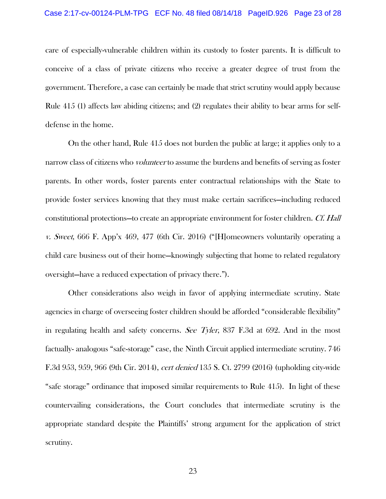care of especially-vulnerable children within its custody to foster parents. It is difficult to conceive of a class of private citizens who receive a greater degree of trust from the government. Therefore, a case can certainly be made that strict scrutiny would apply because Rule 415 (1) affects law abiding citizens; and (2) regulates their ability to bear arms for selfdefense in the home.

 On the other hand, Rule 415 does not burden the public at large; it applies only to a narrow class of citizens who *volunteer* to assume the burdens and benefits of serving as foster parents. In other words, foster parents enter contractual relationships with the State to provide foster services knowing that they must make certain sacrifices—including reduced constitutional protections—to create an appropriate environment for foster children. Cf. Hall v. Sweet, 666 F. App'x 469, 477 (6th Cir. 2016) ("[H]omeowners voluntarily operating a child care business out of their home—knowingly subjecting that home to related regulatory oversight—have a reduced expectation of privacy there.").

 Other considerations also weigh in favor of applying intermediate scrutiny. State agencies in charge of overseeing foster children should be afforded "considerable flexibility" in regulating health and safety concerns. See Tyler, 837 F.3d at 692. And in the most factually- analogous "safe-storage" case, the Ninth Circuit applied intermediate scrutiny. 746 F.3d 953, 959, 966 (9th Cir. 2014), cert denied 135 S. Ct. 2799 (2016) (upholding city-wide "safe storage" ordinance that imposed similar requirements to Rule 415). In light of these countervailing considerations, the Court concludes that intermediate scrutiny is the appropriate standard despite the Plaintiffs' strong argument for the application of strict scrutiny.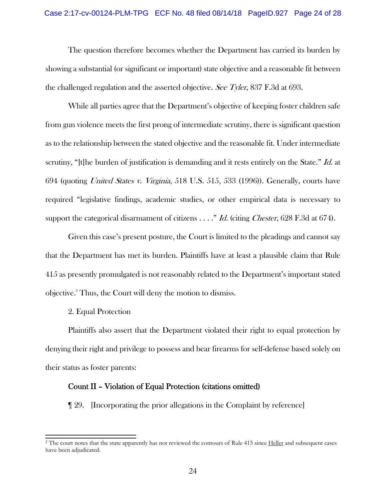#### Case 2:17-cv-00124-PLM-TPG ECF No. 48 filed 08/14/18 PageID.927 Page 24 of 28

 The question therefore becomes whether the Department has carried its burden by showing a substantial (or significant or important) state objective and a reasonable fit between the challenged regulation and the asserted objective. See Tyler, 837 F.3d at 693.

 While all parties agree that the Department's objective of keeping foster children safe from gun violence meets the first prong of intermediate scrutiny, there is significant question as to the relationship between the stated objective and the reasonable fit. Under intermediate scrutiny, "[t]he burden of justification is demanding and it rests entirely on the State." *Id.* at 694 (quoting United States v. Virginia, 518 U.S. 515, 533 (1996)). Generally, courts have required "legislative findings, academic studies, or other empirical data is necessary to support the categorical disarmament of citizens  $\ldots$ ." Id. (citing *Chester*, 628 F.3d at 674).

 Given this case's present posture, the Court is limited to the pleadings and cannot say that the Department has met its burden. Plaintiffs have at least a plausible claim that Rule 415 as presently promulgated is not reasonably related to the Department's important stated objective.2 Thus, the Court will deny the motion to dismiss.

2. Equal Protection

 $\overline{a}$ 

 Plaintiffs also assert that the Department violated their right to equal protection by denying their right and privilege to possess and bear firearms for self-defense based solely on their status as foster parents:

## Count II – Violation of Equal Protection (citations omitted)

¶ 29. [Incorporating the prior allegations in the Complaint by reference]

<sup>&</sup>lt;sup>2</sup> The court notes that the state apparently has not reviewed the contours of Rule 415 since Heller and subsequent cases have been adjudicated.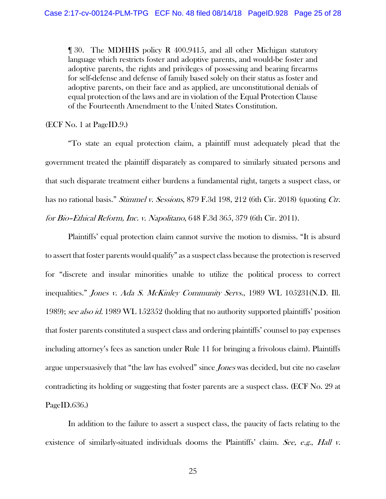¶ 30. The MDHHS policy R 400.9415, and all other Michigan statutory language which restricts foster and adoptive parents, and would-be foster and adoptive parents, the rights and privileges of possessing and bearing firearms for self-defense and defense of family based solely on their status as foster and adoptive parents, on their face and as applied, are unconstitutional denials of equal protection of the laws and are in violation of the Equal Protection Clause of the Fourteenth Amendment to the United States Constitution.

(ECF No. 1 at PageID.9.)

 "To state an equal protection claim, a plaintiff must adequately plead that the government treated the plaintiff disparately as compared to similarly situated persons and that such disparate treatment either burdens a fundamental right, targets a suspect class, or has no rational basis." *Stimmel v. Sessions*, 879 F.3d 198, 212 (6th Cir. 2018) (quoting Ctr. for Bio–Ethical Reform, Inc. v. Napolitano, 648 F.3d 365, 379 (6th Cir. 2011).

 Plaintiffs' equal protection claim cannot survive the motion to dismiss. "It is absurd to assert that foster parents would qualify" as a suspect class because the protection is reserved for "discrete and insular minorities unable to utilize the political process to correct inequalities." Jones v. Ada S. McKinley Community Servs., 1989 WL 105231(N.D. Ill. 1989); see also id. 1989 WL 152352 (holding that no authority supported plaintiffs' position that foster parents constituted a suspect class and ordering plaintiffs' counsel to pay expenses including attorney's fees as sanction under Rule 11 for bringing a frivolous claim). Plaintiffs argue unpersuasively that "the law has evolved" since *Jones* was decided, but cite no caselaw contradicting its holding or suggesting that foster parents are a suspect class. (ECF No. 29 at PageID.636.)

 In addition to the failure to assert a suspect class, the paucity of facts relating to the existence of similarly-situated individuals dooms the Plaintiffs' claim. See, e.g., Hall  $\nu$ .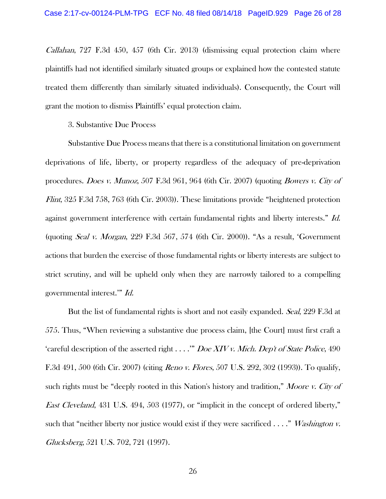Callahan, 727 F.3d 450, 457 (6th Cir. 2013) (dismissing equal protection claim where plaintiffs had not identified similarly situated groups or explained how the contested statute treated them differently than similarly situated individuals). Consequently, the Court will grant the motion to dismiss Plaintiffs' equal protection claim.

3. Substantive Due Process

 Substantive Due Process means that there is a constitutional limitation on government deprivations of life, liberty, or property regardless of the adequacy of pre-deprivation procedures. Does v. Munoz, 507 F.3d 961, 964 (6th Cir. 2007) (quoting Bowers v. City of Flint, 325 F.3d 758, 763 (6th Cir. 2003)). These limitations provide "heightened protection against government interference with certain fundamental rights and liberty interests." Id. (quoting Seal v. Morgan, 229 F.3d 567, 574 (6th Cir. 2000)). "As a result, 'Government actions that burden the exercise of those fundamental rights or liberty interests are subject to strict scrutiny, and will be upheld only when they are narrowly tailored to a compelling governmental interest.'" Id.

But the list of fundamental rights is short and not easily expanded. Seal, 229 F.3d at 575. Thus, "When reviewing a substantive due process claim, [the Court] must first craft a 'careful description of the asserted right . . . ." Doe XIV v. Mich. Dep't of State Police, 490 F.3d 491, 500 (6th Cir. 2007) (citing *Reno v. Flores*, 507 U.S. 292, 302 (1993)). To qualify, such rights must be "deeply rooted in this Nation's history and tradition," Moore v. City of East Cleveland, 431 U.S. 494, 503 (1977), or "implicit in the concept of ordered liberty," such that "neither liberty nor justice would exist if they were sacrificed  $\ldots$ ." *Washington v.* Glucksberg, 521 U.S. 702, 721 (1997).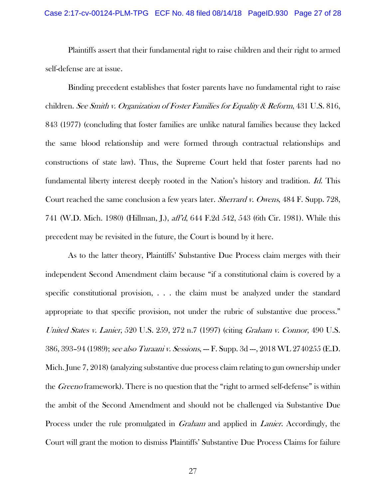Plaintiffs assert that their fundamental right to raise children and their right to armed self-defense are at issue.

 Binding precedent establishes that foster parents have no fundamental right to raise children. See Smith v. Organization of Foster Families for Equality & Reform, 431 U.S. 816, 843 (1977) (concluding that foster families are unlike natural families because they lacked the same blood relationship and were formed through contractual relationships and constructions of state law). Thus, the Supreme Court held that foster parents had no fundamental liberty interest deeply rooted in the Nation's history and tradition. Id. This Court reached the same conclusion a few years later. *Sherrard v. Owens*, 484 F. Supp. 728, 741 (W.D. Mich. 1980) (Hillman, J.), aff'd, 644 F.2d 542, 543 (6th Cir. 1981). While this precedent may be revisited in the future, the Court is bound by it here.

 As to the latter theory, Plaintiffs' Substantive Due Process claim merges with their independent Second Amendment claim because "if a constitutional claim is covered by a specific constitutional provision, . . . the claim must be analyzed under the standard appropriate to that specific provision, not under the rubric of substantive due process." United States v. Lanier, 520 U.S. 259, 272 n.7 (1997) (citing Graham v. Connor, 490 U.S. 386, 393–94 (1989); see also Turaani v. Sessions, --- F. Supp. 3d ---, 2018 WL 2740255 (E.D. Mich. June 7, 2018) (analyzing substantive due process claim relating to gun ownership under the *Greeno* framework). There is no question that the "right to armed self-defense" is within the ambit of the Second Amendment and should not be challenged via Substantive Due Process under the rule promulgated in *Graham* and applied in *Lanier*. Accordingly, the Court will grant the motion to dismiss Plaintiffs' Substantive Due Process Claims for failure